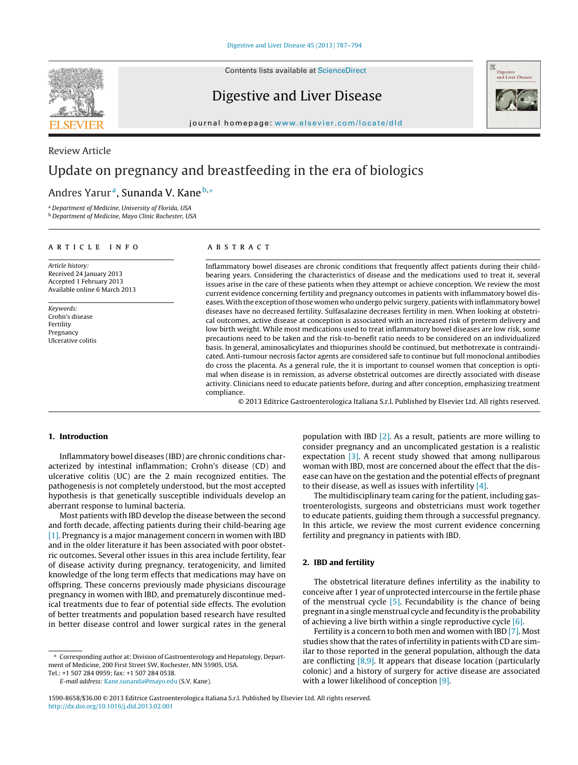Contents lists available at [ScienceDirect](http://www.sciencedirect.com/science/journal/15908658)

# Digestive and Liver Disease



iournal homepage: [www.elsevier.com/locate/dld](http://www.elsevier.com/locate/dld)

# Review Article Update on pregnancy and breastfeeding in the era of biologics

# Andres Yarur<sup>a</sup>, Sunanda V. Kane<sup>b,</sup>\*

<sup>a</sup> Department of Medicine, University of Florida, USA

<sup>b</sup> Department of Medicine, Mayo Clinic Rochester, USA

### a r t i c l e i n f o

Article history: Received 24 January 2013 Accepted 1 February 2013 Available online 6 March 2013

Keywords: Crohn's disease Fertility Pregnancy Ulcerative colitis

# A B S T R A C T

Inflammatory bowel diseases are chronic conditions that frequently affect patients during their childbearing years. Considering the characteristics of disease and the medications used to treat it, several issues arise in the care of these patients when they attempt or achieve conception. We review the most current evidence concerning fertility and pregnancy outcomes in patients with inflammatory bowel diseases.With the exception ofthose women who undergo pelvic surgery, patients with inflammatory bowel diseases have no decreased fertility. Sulfasalazine decreases fertility in men. When looking at obstetrical outcomes, active disease at conception is associated with an increased risk of preterm delivery and low birth weight. While most medications used to treat inflammatory bowel diseases are low risk, some precautions need to be taken and the risk-to-benefit ratio needs to be considered on an individualized basis. In general, aminosalicylates and thiopurines should be continued, but methotrexate is contraindicated. Anti-tumour necrosis factor agents are considered safe to continue but full monoclonal antibodies do cross the placenta. As a general rule, the it is important to counsel women that conception is optimal when disease is in remission, as adverse obstetrical outcomes are directly associated with disease activity. Clinicians need to educate patients before, during and after conception, emphasizing treatment compliance.

© 2013 Editrice Gastroenterologica Italiana S.r.l. Published by Elsevier Ltd. All rights reserved.

# **1. Introduction**

Inflammatory bowel diseases (IBD) are chronic conditions characterized by intestinal inflammation; Crohn's disease (CD) and ulcerative colitis (UC) are the 2 main recognized entities. The pathogenesis is not completely understood, but the most accepted hypothesis is that genetically susceptible individuals develop an aberrant response to luminal bacteria.

Most patients with IBD develop the disease between the second and forth decade, affecting patients during their child-bearing age [\[1\].](#page-5-0) Pregnancy is a major management concern in women with IBD and in the older literature it has been associated with poor obstetric outcomes. Several other issues in this area include fertility, fear of disease activity during pregnancy, teratogenicity, and limited knowledge of the long term effects that medications may have on offspring. These concerns previously made physicians discourage pregnancy in women with IBD, and prematurely discontinue medical treatments due to fear of potential side effects. The evolution of better treatments and population based research have resulted in better disease control and lower surgical rates in the general

Tel.: +1 507 284 0959; fax: +1 507 284 0538.

E-mail address: [Kane.sunanda@mayo.edu](mailto:Kane.sunanda@mayo.edu) (S.V. Kane).

population with IBD [\[2\].](#page-5-0) As a result, patients are more willing to consider pregnancy and an uncomplicated gestation is a realistic expectation  $\left[3\right]$ . A recent study showed that among nulliparous woman with IBD, most are concerned about the effect that the disease can have on the gestation and the potential effects of pregnant to their disease, as well as issues with infertility [\[4\].](#page-5-0)

The multidisciplinary team caring for the patient, including gastroenterologists, surgeons and obstetricians must work together to educate patients, guiding them through a successful pregnancy. In this article, we review the most current evidence concerning fertility and pregnancy in patients with IBD.

# **2. IBD and fertility**

The obstetrical literature defines infertility as the inability to conceive after 1 year of unprotected intercourse in the fertile phase of the menstrual cycle [\[5\].](#page-5-0) Fecundability is the chance of being pregnant in a single menstrual cycle and fecundity is the probability of achieving a live birth within a single reproductive cycle  $[6]$ .

Fertility is a concern to both men and women with IBD [\[7\].](#page-5-0) Most studies show that the rates of infertility in patients with CD are similar to those reported in the general population, although the data are conflicting  $[8,9]$ . It appears that disease location (particularly colonic) and a history of surgery for active disease are associated with a lower likelihood of conception [\[9\].](#page-5-0)

<sup>∗</sup> Corresponding author at: Division of Gastroenterology and Hepatology, Department of Medicine, 200 First Street SW, Rochester, MN 55905, USA.

<sup>1590-8658/\$36.00</sup> © 2013 Editrice Gastroenterologica Italiana S.r.l. Published by Elsevier Ltd. All rights reserved. [http://dx.doi.org/10.1016/j.dld.2013.02.001](dx.doi.org/10.1016/j.dld.2013.02.001)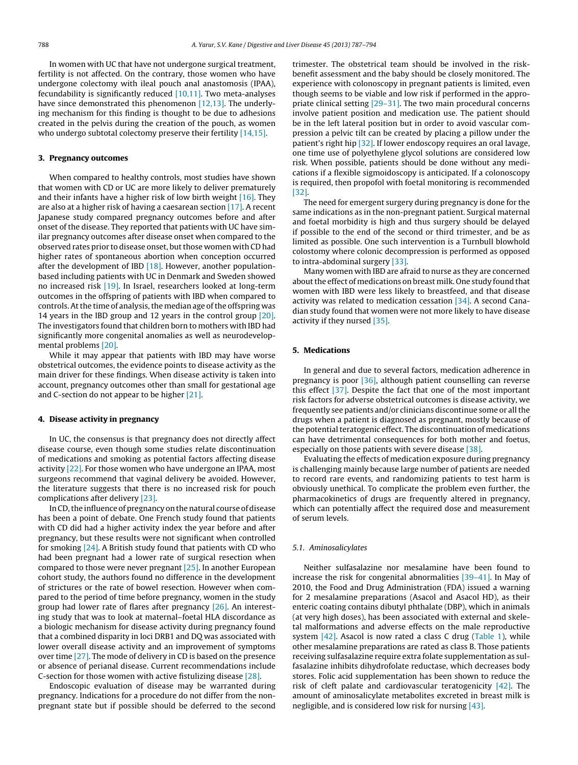In women with UC that have not undergone surgical treatment, fertility is not affected. On the contrary, those women who have undergone colectomy with ileal pouch anal anastomosis (IPAA), fecundability is significantly reduced  $[10,11]$ . Two meta-analyses have since demonstrated this phenomenon [\[12,13\].](#page-5-0) The underlying mechanism for this finding is thought to be due to adhesions created in the pelvis during the creation of the pouch, as women who undergo subtotal colectomy preserve their fertility [\[14,15\].](#page-5-0)

### **3. Pregnancy outcomes**

When compared to healthy controls, most studies have shown that women with CD or UC are more likely to deliver prematurely and their infants have a higher risk of low birth weight [\[16\].](#page-5-0) They are also at a higher risk of having a caesarean section [\[17\].](#page-5-0) A recent Japanese study compared pregnancy outcomes before and after onset of the disease. They reported that patients with UC have similar pregnancy outcomes after disease onset when compared to the observed rates prior to disease onset, but those women with CD had higher rates of spontaneous abortion when conception occurred after the development of IBD  $[18]$ . However, another populationbased including patients with UC in Denmark and Sweden showed no increased risk [\[19\].](#page-5-0) In Israel, researchers looked at long-term outcomes in the offspring of patients with IBD when compared to controls. At the time of analysis, the median age of the offspring was 14 years in the IBD group and 12 years in the control group [\[20\].](#page-5-0) The investigators found that children born to mothers with IBD had significantly more congenital anomalies as well as neurodevelopmental problems [\[20\].](#page-5-0)

While it may appear that patients with IBD may have worse obstetrical outcomes, the evidence points to disease activity as the main driver for these findings. When disease activity is taken into account, pregnancy outcomes other than small for gestational age and C-section do not appear to be higher [\[21\].](#page-5-0)

#### **4. Disease activity in pregnancy**

In UC, the consensus is that pregnancy does not directly affect disease course, even though some studies relate discontinuation of medications and smoking as potential factors affecting disease activity [\[22\].](#page-5-0) For those women who have undergone an IPAA, most surgeons recommend that vaginal delivery be avoided. However, the literature suggests that there is no increased risk for pouch complications after delivery [\[23\].](#page-5-0)

In CD, the influence of pregnancy on the natural course of disease has been a point of debate. One French study found that patients with CD did had a higher activity index the year before and after pregnancy, but these results were not significant when controlled for smoking [\[24\].](#page-5-0) A British study found that patients with CD who had been pregnant had a lower rate of surgical resection when compared to those were never pregnant [\[25\].](#page-5-0) In another European cohort study, the authors found no difference in the development of strictures or the rate of bowel resection. However when compared to the period of time before pregnancy, women in the study group had lower rate of flares after pregnancy [\[26\].](#page-5-0) An interesting study that was to look at maternal–foetal HLA discordance as a biologic mechanism for disease activity during pregnancy found that a combined disparity in loci DRB1 and DQ was associated with lower overall disease activity and an improvement of symptoms over time [\[27\].](#page-5-0) The mode of delivery in CD is based on the presence or absence of perianal disease. Current recommendations include C-section for those women with active fistulizing disease [\[28\].](#page-5-0)

Endoscopic evaluation of disease may be warranted during pregnancy. Indications for a procedure do not differ from the nonpregnant state but if possible should be deferred to the second trimester. The obstetrical team should be involved in the riskbenefit assessment and the baby should be closely monitored. The experience with colonoscopy in pregnant patients is limited, even though seems to be viable and low risk if performed in the appropriate clinical setting [29-31]. The two main procedural concerns involve patient position and medication use. The patient should be in the left lateral position but in order to avoid vascular compression a pelvic tilt can be created by placing a pillow under the patient's right hip [\[32\].](#page-5-0) If lower endoscopy requires an oral lavage, one time use of polyethylene glycol solutions are considered low risk. When possible, patients should be done without any medications if a flexible sigmoidoscopy is anticipated. If a colonoscopy is required, then propofol with foetal monitoring is recommended [\[32\].](#page-5-0)

The need for emergent surgery during pregnancy is done for the same indications as in the non-pregnant patient. Surgical maternal and foetal morbidity is high and thus surgery should be delayed if possible to the end of the second or third trimester, and be as limited as possible. One such intervention is a Turnbull blowhold colostomy where colonic decompression is performed as opposed to intra-abdominal surgery [\[33\].](#page-5-0)

Many women with IBD are afraid to nurse as they are concerned about the effect of medications on breast milk. One study found that women with IBD were less likely to breastfeed, and that disease activity was related to medication cessation [\[34\].](#page-6-0) A second Canadian study found that women were not more likely to have disease activity if they nursed [\[35\].](#page-6-0)

#### **5. Medications**

In general and due to several factors, medication adherence in pregnancy is poor [\[36\],](#page-6-0) although patient counselling can reverse this effect [\[37\].](#page-6-0) Despite the fact that one of the most important risk factors for adverse obstetrical outcomes is disease activity, we frequently see patients and/or clinicians discontinue some or all the drugs when a patient is diagnosed as pregnant, mostly because of the potential teratogenic effect. The discontinuation of medications can have detrimental consequences for both mother and foetus, especially on those patients with severe disease [\[38\].](#page-6-0)

Evaluating the effects of medication exposure during pregnancy is challenging mainly because large number of patients are needed to record rare events, and randomizing patients to test harm is obviously unethical. To complicate the problem even further, the pharmacokinetics of drugs are frequently altered in pregnancy, which can potentially affect the required dose and measurement of serum levels.

#### 5.1. Aminosalicylates

Neither sulfasalazine nor mesalamine have been found to increase the risk for congenital abnormalities [\[39–41\].](#page-6-0) In May of 2010, the Food and Drug Administration (FDA) issued a warning for 2 mesalamine preparations (Asacol and Asacol HD), as their enteric coating contains dibutyl phthalate (DBP), which in animals (at very high doses), has been associated with external and skeletal malformations and adverse effects on the male reproductive system  $[42]$ . Asacol is now rated a class C drug ([Table](#page-2-0) 1), while other mesalamine preparations are rated as class B. Those patients receiving sulfasalazine require extra folate supplementation as sulfasalazine inhibits dihydrofolate reductase, which decreases body stores. Folic acid supplementation has been shown to reduce the risk of cleft palate and cardiovascular teratogenicity  $[42]$ . The amount of aminosalicylate metabolites excreted in breast milk is negligible, and is considered low risk for nursing [\[43\].](#page-6-0)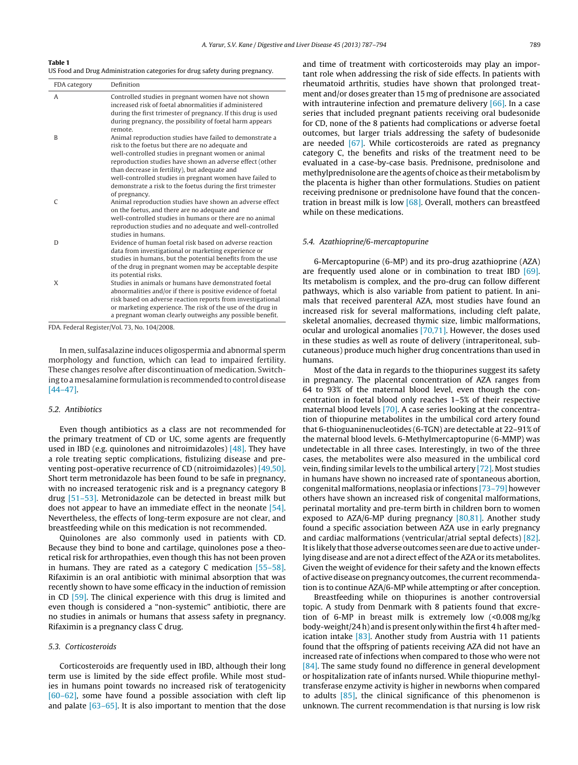<span id="page-2-0"></span>**Table 1**

US Food and Drug Administration categories for drug safety during pregnancy.

| FDA category | Definition                                                                                                                                                                                                                                                                                                      |
|--------------|-----------------------------------------------------------------------------------------------------------------------------------------------------------------------------------------------------------------------------------------------------------------------------------------------------------------|
| A            | Controlled studies in pregnant women have not shown<br>increased risk of foetal abnormalities if administered<br>during the first trimester of pregnancy. If this drug is used<br>during pregnancy, the possibility of foetal harm appears<br>remote.                                                           |
| B            | Animal reproduction studies have failed to demonstrate a<br>risk to the foetus but there are no adequate and<br>well-controlled studies in pregnant women or animal<br>reproduction studies have shown an adverse effect (other<br>than decrease in fertility), but adequate and                                |
|              | well-controlled studies in pregnant women have failed to<br>demonstrate a risk to the foetus during the first trimester<br>of pregnancy.                                                                                                                                                                        |
| $\Gamma$     | Animal reproduction studies have shown an adverse effect<br>on the foetus, and there are no adequate and<br>well-controlled studies in humans or there are no animal<br>reproduction studies and no adequate and well-controlled<br>studies in humans.                                                          |
| D            | Evidence of human foetal risk based on adverse reaction<br>data from investigational or marketing experience or<br>studies in humans, but the potential benefits from the use<br>of the drug in pregnant women may be acceptable despite<br>its potential risks.                                                |
| X            | Studies in animals or humans have demonstrated foetal<br>abnormalities and/or if there is positive evidence of foetal<br>risk based on adverse reaction reports from investigational<br>or marketing experience. The risk of the use of the drug in<br>a pregnant woman clearly outweighs any possible benefit. |

FDA. Federal Register/Vol. 73, No. 104/2008.

In men, sulfasalazine induces oligospermia and abnormal sperm morphology and function, which can lead to impaired fertility. These changes resolve after discontinuation of medication. Switching to a mesalamine formulation is recommended to control disease [\[44–47\].](#page-6-0)

#### 5.2. Antibiotics

Even though antibiotics as a class are not recommended for the primary treatment of CD or UC, some agents are frequently used in IBD (e.g. quinolones and nitroimidazoles) [\[48\].](#page-6-0) They have a role treating septic complications, fistulizing disease and preventing post-operative recurrence of CD (nitroimidazoles) [\[49,50\].](#page-6-0) Short term metronidazole has been found to be safe in pregnancy, with no increased teratogenic risk and is a pregnancy category B drug [\[51–53\].](#page-6-0) Metronidazole can be detected in breast milk but does not appear to have an immediate effect in the neonate [\[54\].](#page-6-0) Nevertheless, the effects of long-term exposure are not clear, and breastfeeding while on this medication is not recommended.

Quinolones are also commonly used in patients with CD. Because they bind to bone and cartilage, quinolones pose a theoretical risk for arthropathies, even though this has not been proven in humans. They are rated as a category C medication [\[55–58\].](#page-6-0) Rifaximin is an oral antibiotic with minimal absorption that was recently shown to have some efficacy in the induction of remission in CD [\[59\].](#page-6-0) The clinical experience with this drug is limited and even though is considered a "non-systemic" antibiotic, there are no studies in animals or humans that assess safety in pregnancy. Rifaximin is a pregnancy class C drug.

## 5.3. Corticosteroids

Corticosteroids are frequently used in IBD, although their long term use is limited by the side effect profile. While most studies in humans point towards no increased risk of teratogenicity [\[60–62\],](#page-6-0) some have found a possible association with cleft lip and palate  $[63-65]$ . It is also important to mention that the dose and time of treatment with corticosteroids may play an important role when addressing the risk of side effects. In patients with rheumatoid arthritis, studies have shown that prolonged treatment and/or doses greater than 15 mg of prednisone are associated with intrauterine infection and premature delivery [\[66\].](#page-6-0) In a case series that included pregnant patients receiving oral budesonide for CD, none of the 8 patients had complications or adverse foetal outcomes, but larger trials addressing the safety of budesonide are needed [\[67\].](#page-6-0) While corticosteroids are rated as pregnancy category C, the benefits and risks of the treatment need to be evaluated in a case-by-case basis. Prednisone, prednisolone and methylprednisolone are the agents of choice as their metabolism by the placenta is higher than other formulations. Studies on patient receiving prednisone or prednisolone have found that the concentration in breast milk is low [\[68\].](#page-6-0) Overall, mothers can breastfeed while on these medications.

#### 5.4. Azathioprine/6-mercaptopurine

6-Mercaptopurine (6-MP) and its pro-drug azathioprine (AZA) are frequently used alone or in combination to treat IBD [\[69\].](#page-6-0) Its metabolism is complex, and the pro-drug can follow different pathways, which is also variable from patient to patient. In animals that received parenteral AZA, most studies have found an increased risk for several malformations, including cleft palate, skeletal anomalies, decreased thymic size, limbic malformations, ocular and urological anomalies [\[70,71\].](#page-6-0) However, the doses used in these studies as well as route of delivery (intraperitoneal, subcutaneous) produce much higher drug concentrations than used in humans.

Most of the data in regards to the thiopurines suggest its safety in pregnancy. The placental concentration of AZA ranges from 64 to 93% of the maternal blood level, even though the concentration in foetal blood only reaches 1–5% of their respective maternal blood levels [\[70\].](#page-6-0) A case series looking at the concentration of thiopurine metabolites in the umbilical cord artery found that 6-thioguaninenucleotides (6-TGN) are detectable at 22–91% of the maternal blood levels. 6-Methylmercaptopurine (6-MMP) was undetectable in all three cases. Interestingly, in two of the three cases, the metabolites were also measured in the umbilical cord vein, finding similar levels to the umbilical artery [\[72\].](#page-6-0) Most studies in humans have shown no increased rate of spontaneous abortion, congenital malformations, neoplasia or infections [\[73–79\]](#page-6-0) however others have shown an increased risk of congenital malformations, perinatal mortality and pre-term birth in children born to women exposed to AZA/6-MP during pregnancy [\[80,81\].](#page-6-0) Another study found a specific association between AZA use in early pregnancy and cardiac malformations (ventricular/atrial septal defects) [\[82\].](#page-6-0) It is likely that those adverse outcomes seen are due to active underlying disease and are not a direct effect of the AZA or its metabolites. Given the weight of evidence for their safety and the known effects of active disease on pregnancy outcomes, the current recommendation is to continue AZA/6-MP while attempting or after conception.

Breastfeeding while on thiopurines is another controversial topic. A study from Denmark with 8 patients found that excretion of 6-MP in breast milk is extremely low (<0.008 mg/kg body-weight/24 h) and is present only within the first 4 h after medication intake [\[83\].](#page-6-0) Another study from Austria with 11 patients found that the offspring of patients receiving AZA did not have an increased rate of infections when compared to those who were not [\[84\].](#page-6-0) The same study found no difference in general development or hospitalization rate of infants nursed. While thiopurine methyltransferase enzyme activity is higher in newborns when compared to adults [\[85\],](#page-6-0) the clinical significance of this phenomenon is unknown. The current recommendation is that nursing is low risk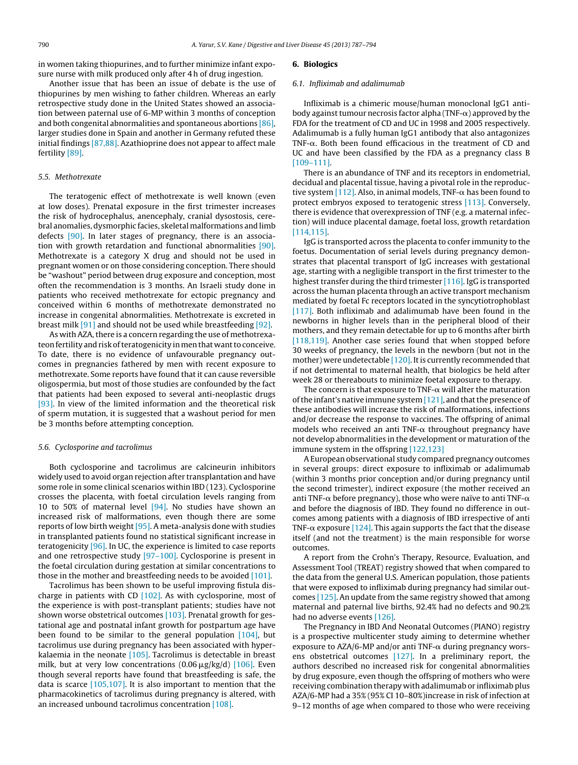in women taking thiopurines, and to further minimize infant exposure nurse with milk produced only after 4 h of drug ingestion.

Another issue that has been an issue of debate is the use of thiopurines by men wishing to father children. Whereas an early retrospective study done in the United States showed an association between paternal use of 6-MP within 3 months of conception and both congenital abnormalities and spontaneous abortions [\[86\],](#page-6-0) larger studies done in Spain and another in Germany refuted these initial findings [\[87,88\].](#page-6-0) Azathioprine does not appear to affect male fertility [\[89\].](#page-6-0)

#### 5.5. Methotrexate

The teratogenic effect of methotrexate is well known (even at low doses). Prenatal exposure in the first trimester increases the risk of hydrocephalus, anencephaly, cranial dysostosis, cerebral anomalies, dysmorphic facies, skeletal malformations and limb defects [\[90\].](#page-6-0) In later stages of pregnancy, there is an association with growth retardation and functional abnormalities [\[90\].](#page-6-0) Methotrexate is a category X drug and should not be used in pregnant women or on those considering conception. There should be "washout" period between drug exposure and conception, most often the recommendation is 3 months. An Israeli study done in patients who received methotrexate for ectopic pregnancy and conceived within 6 months of methotrexate demonstrated no increase in congenital abnormalities. Methotrexate is excreted in breast milk [\[91\]](#page-6-0) and should not be used while breastfeeding [\[92\].](#page-7-0)

As with AZA, there is a concern regarding the use of methotrexateon fertility and risk of teratogenicity in men that want to conceive. To date, there is no evidence of unfavourable pregnancy outcomes in pregnancies fathered by men with recent exposure to methotrexate. Some reports have found that it can cause reversible oligospermia, but most of those studies are confounded by the fact that patients had been exposed to several anti-neoplastic drugs [\[93\].](#page-7-0) In view of the limited information and the theoretical risk of sperm mutation, it is suggested that a washout period for men be 3 months before attempting conception.

#### 5.6. Cyclosporine and tacrolimus

Both cyclosporine and tacrolimus are calcineurin inhibitors widely used to avoid organ rejection after transplantation and have some role in some clinical scenarios within IBD (123). Cyclosporine crosses the placenta, with foetal circulation levels ranging from 10 to 50% of maternal level  $[94]$ . No studies have shown an increased risk of malformations, even though there are some reports of low birth weight [\[95\].](#page-7-0) A meta-analysis done with studies in transplanted patients found no statistical significant increase in teratogenicity [\[96\].](#page-7-0) In UC, the experience is limited to case reports and one retrospective study [\[97–100\].](#page-7-0) Cyclosporine is present in the foetal circulation during gestation at similar concentrations to those in the mother and breastfeeding needs to be avoided [\[101\].](#page-7-0)

Tacrolimus has been shown to be useful improving fistula discharge in patients with CD  $[102]$ . As with cyclosporine, most of the experience is with post-transplant patients; studies have not shown worse obstetrical outcomes [\[103\].](#page-7-0) Prenatal growth for gestational age and postnatal infant growth for postpartum age have been found to be similar to the general population  $[104]$ , but tacrolimus use during pregnancy has been associated with hyperkalaemia in the neonate [\[105\].](#page-7-0) Tacrolimus is detectable in breast milk, but at very low concentrations (0.06  $\mu$ g/kg/d) [\[106\].](#page-7-0) Even though several reports have found that breastfeeding is safe, the data is scarce [\[105,107\].](#page-7-0) It is also important to mention that the pharmacokinetics of tacrolimus during pregnancy is altered, with an increased unbound tacrolimus concentration [\[108\].](#page-7-0)

#### **6. Biologics**

#### 6.1. Infliximab and adalimumab

Infliximab is a chimeric mouse/human monoclonal IgG1 antibody against tumour necrosis factor alpha (TNF- $\alpha$ ) approved by the FDA for the treatment of CD and UC in 1998 and 2005 respectively. Adalimumab is a fully human IgG1 antibody that also antagonizes TNF- $\alpha$ . Both been found efficacious in the treatment of CD and UC and have been classified by the FDA as a pregnancy class B [\[109–111\].](#page-7-0)

There is an abundance of TNF and its receptors in endometrial, decidual and placental tissue, having a pivotal role in the reproduc-tive system [\[112\].](#page-7-0) Also, in animal models, TNF- $\alpha$  has been found to protect embryos exposed to teratogenic stress [\[113\].](#page-7-0) Conversely, there is evidence that overexpression of TNF (e.g. a maternal infection) will induce placental damage, foetal loss, growth retardation [\[114,115\].](#page-7-0)

IgG is transported across the placenta to confer immunity to the foetus. Documentation of serial levels during pregnancy demonstrates that placental transport of IgG increases with gestational age, starting with a negligible transport in the first trimester to the highest transfer during the third trimester  $[116]$ . IgG is transported across the human placenta through an active transport mechanism mediated by foetal Fc receptors located in the syncytiotrophoblast [\[117\].](#page-7-0) Both infliximab and adalimumab have been found in the newborns in higher levels than in the peripheral blood of their mothers, and they remain detectable for up to 6 months after birth [\[118,119\].](#page-7-0) Another case series found that when stopped before 30 weeks of pregnancy, the levels in the newborn (but not in the mother) were undetectable  $[120]$ . It is currently recommended that if not detrimental to maternal health, that biologics be held after week 28 or thereabouts to minimize foetal exposure to therapy.

The concern is that exposure to TNF- $\alpha$  will alter the maturation of the infant's native immune system  $[121]$ , and that the presence of these antibodies will increase the risk of malformations, infections and/or decrease the response to vaccines. The offspring of animal models who received an anti TNF- $\alpha$  throughout pregnancy have not develop abnormalities in the development or maturation of the immune system in the offspring [\[122,123\]](#page-7-0)

A European observational study compared pregnancy outcomes in several groups: direct exposure to infliximab or adalimumab (within 3 months prior conception and/or during pregnancy until the second trimester), indirect exposure (the mother received an anti TNF- $\alpha$  before pregnancy), those who were naïve to anti TNF- $\alpha$ and before the diagnosis of IBD. They found no difference in outcomes among patients with a diagnosis of IBD irrespective of anti TNF- $\alpha$  exposure [\[124\].](#page-7-0) This again supports the fact that the disease itself (and not the treatment) is the main responsible for worse outcomes.

A report from the Crohn's Therapy, Resource, Evaluation, and Assessment Tool (TREAT) registry showed that when compared to the data from the general U.S. American population, those patients that were exposed to infliximab during pregnancy had similar outcomes [\[125\].](#page-7-0) An update from the same registry showed that among maternal and paternal live births, 92.4% had no defects and 90.2% had no adverse events [\[126\].](#page-7-0)

The Pregnancy in IBD And Neonatal Outcomes (PIANO) registry is a prospective multicenter study aiming to determine whether exposure to AZA/6-MP and/or anti TNF- $\alpha$  during pregnancy worsens obstetrical outcomes [\[127\].](#page-7-0) In a preliminary report, the authors described no increased risk for congenital abnormalities by drug exposure, even though the offspring of mothers who were receiving combination therapy with adalimumab or infliximab plus AZA/6-MP had a 35% (95% CI 10–80%)increase in risk of infection at 9–12 months of age when compared to those who were receiving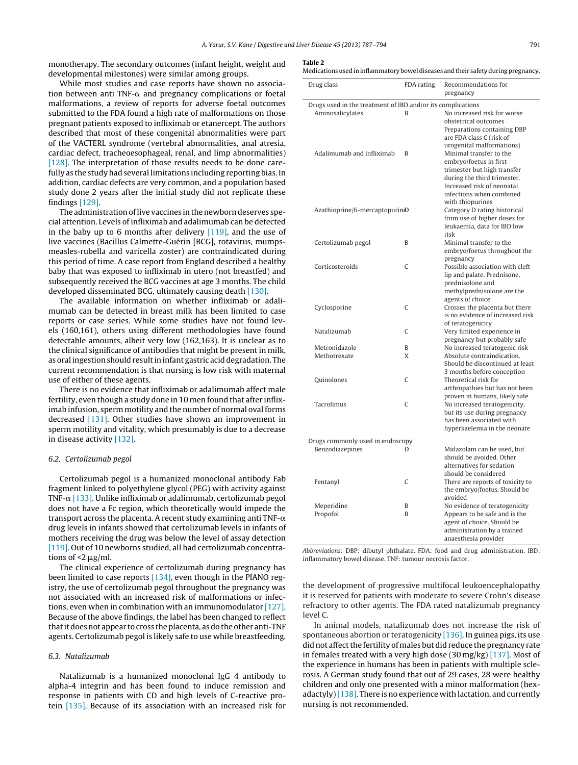<span id="page-4-0"></span>monotherapy. The secondary outcomes (infant height, weight and developmental milestones) were similar among groups.

While most studies and case reports have shown no association between anti TNF- $\alpha$  and pregnancy complications or foetal malformations, a review of reports for adverse foetal outcomes submitted to the FDA found a high rate of malformations on those pregnant patients exposed to infliximab or etanercept. The authors described that most of these congenital abnormalities were part of the VACTERL syndrome (vertebral abnormalities, anal atresia, cardiac defect, tracheoesophageal, renal, and limp abnormalities) [\[128\].](#page-7-0) The interpretation of those results needs to be done carefully as the study had several limitations including reporting bias. In addition, cardiac defects are very common, and a population based study done 2 years after the initial study did not replicate these findings [\[129\].](#page-7-0)

The administration of live vaccines in the newborn deserves special attention. Levels of infliximab and adalimumab can be detected in the baby up to 6 months after delivery  $[119]$ , and the use of live vaccines (Bacillus Calmette-Guérin [BCG], rotavirus, mumpsmeasles-rubella and varicella zoster) are contraindicated during this period of time. A case report from England described a healthy baby that was exposed to infliximab in utero (not breastfed) and subsequently received the BCG vaccines at age 3 months. The child developed disseminated BCG, ultimately causing death [\[130\].](#page-7-0)

The available information on whether infliximab or adalimumab can be detected in breast milk has been limited to case reports or case series. While some studies have not found levels (160,161), others using different methodologies have found detectable amounts, albeit very low (162,163). It is unclear as to the clinical significance of antibodies that might be present in milk, as oral ingestion should result in infant gastric acid degradation. The current recommendation is that nursing is low risk with maternal use of either of these agents.

There is no evidence that infliximab or adalimumab affect male fertility, even though a study done in 10 men found that after infliximab infusion, sperm motility and the number of normal oval forms decreased [\[131\].](#page-7-0) Other studies have shown an improvement in sperm motility and vitality, which presumably is due to a decrease in disease activity [\[132\].](#page-7-0)

#### 6.2. Certolizumab pegol

Certolizumab pegol is a humanized monoclonal antibody Fab fragment linked to polyethylene glycol (PEG) with activity against TNF- $\alpha$  [\[133\].](#page-7-0) Unlike infliximab or adalimumab, certolizumab pegol does not have a Fc region, which theoretically would impede the transport across the placenta. A recent study examining anti TNF- $\alpha$ drug levels in infants showed that certolizumab levels in infants of mothers receiving the drug was below the level of assay detection [\[119\].](#page-7-0) Out of 10 newborns studied, all had certolizumab concentrations of  $\leq 2 \mu$ g/ml.

The clinical experience of certolizumab during pregnancy has been limited to case reports [\[134\],](#page-7-0) even though in the PIANO registry, the use of certolizumab pegol throughout the pregnancy was not associated with an increased risk of malformations or infections, even when in combination with an immunomodulator [\[127\].](#page-7-0) Because of the above findings, the label has been changed to reflect thatitdoesnot appear to cross theplacenta, asdo the other anti-TNF agents. Certolizumab pegol is likely safe to use while breastfeeding.

#### 6.3. Natalizumab

Natalizumab is a humanized monoclonal IgG 4 antibody to alpha-4 integrin and has been found to induce remission and response in patients with CD and high levels of C-reactive protein [\[135\].](#page-7-0) Because of its association with an increased risk for

### **Table 2**

|  |  |  |  |  |  |  |  |  | Medications used in inflammatory bowel diseases and their safety during pregnancy. |  |  |  |  |  |  |  |  |  |  |  |  |  |  |  |  |  |
|--|--|--|--|--|--|--|--|--|------------------------------------------------------------------------------------|--|--|--|--|--|--|--|--|--|--|--|--|--|--|--|--|--|
|--|--|--|--|--|--|--|--|--|------------------------------------------------------------------------------------|--|--|--|--|--|--|--|--|--|--|--|--|--|--|--|--|--|

| Drug class                                                  | FDA rating     | Recommendations for<br>pregnancy                                                                                                                                                              |
|-------------------------------------------------------------|----------------|-----------------------------------------------------------------------------------------------------------------------------------------------------------------------------------------------|
| Drugs used in the treatment of IBD and/or its complications |                |                                                                                                                                                                                               |
| Aminosalicylates                                            | B              | No increased risk for worse                                                                                                                                                                   |
|                                                             |                | obstetrical outcomes<br>Preparations containing DBP<br>are FDA class C (risk of<br>urogenital malformations)                                                                                  |
| Adalimumab and infliximab                                   | $\overline{B}$ | Minimal transfer to the<br>embryo/foetus in first<br>trimester but high transfer<br>during the third trimester.<br>Increased risk of neonatal<br>infections when combined<br>with thiopurines |
| Azathioprine/6-mercaptopurindD                              |                | Category D rating historical<br>from use of higher doses for<br>leukaemia, data for IBD low<br>risk                                                                                           |
| Certolizumab pegol                                          | B              | Minimal transfer to the<br>embryo/foetus throughout the<br>pregnancy                                                                                                                          |
| Corticosteroids                                             | C              | Possible association with cleft<br>lip and palate. Prednisone,<br>prednisolone and<br>methylprednisolone are the<br>agents of choice                                                          |
| Cyclosporine                                                | C              | Crosses the placenta but there<br>is no evidence of increased risk<br>of teratogenicity                                                                                                       |
| Natalizumab                                                 | C              | Very limited experience in<br>pregnancy but probably safe                                                                                                                                     |
| Metronidazole                                               | B              | No increased teratogenic risk                                                                                                                                                                 |
| Methotrexate                                                | X              | Absolute contraindication.<br>Should be discontinued at least<br>3 months before conception                                                                                                   |
| Quinolones                                                  | C              | Theoretical risk for<br>arthropathies but has not been<br>proven in humans, likely safe                                                                                                       |
| Tacrolimus                                                  | C              | No increased teratogenicity,<br>but its use during pregnancy<br>has been associated with<br>hyperkaelemia in the neonate                                                                      |
| Drugs commonly used in endoscopy                            |                |                                                                                                                                                                                               |
| Benzodiazepines                                             | D              | Midazolam can be used, but<br>should be avoided. Other<br>alternatives for sedation<br>should be considered                                                                                   |
| Fentanyl                                                    | C              | There are reports of toxicity to<br>the embryo/foetus. Should be<br>avoided                                                                                                                   |
| Meperidine                                                  | B              | No evidence of teratogenicity                                                                                                                                                                 |
| Propofol                                                    | B              | Appears to be safe and is the<br>agent of choice. Should be<br>administration by a trained<br>anaesthesia provider                                                                            |

Abbreviations: DBP: dibutyl phthalate. FDA: food and drug administration. IBD: inflammatory bowel disease. TNF: tumour necrosis factor.

the development of progressive multifocal leukoencephalopathy it is reserved for patients with moderate to severe Crohn's disease refractory to other agents. The FDA rated natalizumab pregnancy level C.

In animal models, natalizumab does not increase the risk of spontaneous abortion or teratogenicity [\[136\].](#page-7-0) In guinea pigs, its use did not affect the fertility of males but did reduce the pregnancy rate in females treated with a very high dose (30 mg/kg) [\[137\].](#page-7-0) Most of the experience in humans has been in patients with multiple sclerosis. A German study found that out of 29 cases, 28 were healthy children and only one presented with a minor malformation (hexadactyly) $[138]$ . There is no experience with lactation, and currently nursing is not recommended.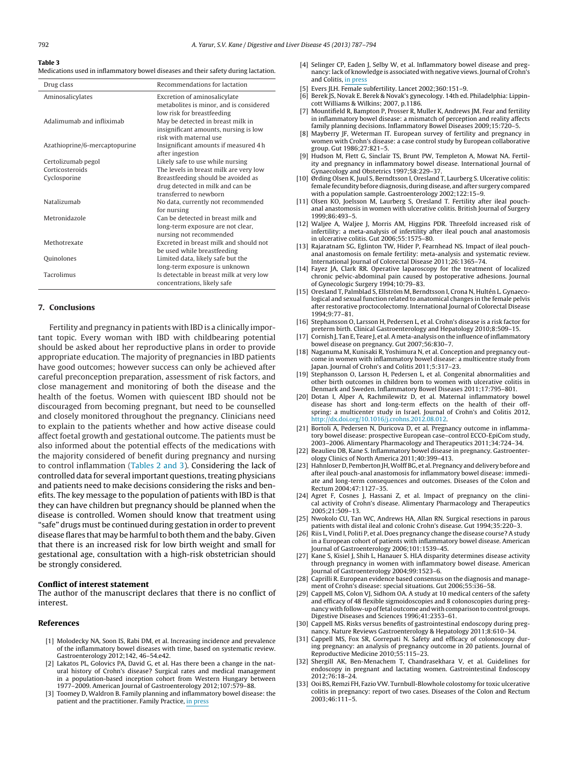#### <span id="page-5-0"></span>**Table 3**

Medications used in inflammatory bowel diseases and their safety during lactation.

| Drug class                    | Recommendations for lactation                                                                         |
|-------------------------------|-------------------------------------------------------------------------------------------------------|
| Aminosalicylates              | Excretion of aminosalicylate<br>metabolites is minor, and is considered<br>low risk for breastfeeding |
| Adalimumab and infliximab     | May be detected in breast milk in<br>insignificant amounts, nursing is low<br>risk with maternal use  |
| Azathioprine/6-mercaptopurine | Insignificant amounts if measured 4 h<br>after ingestion                                              |
| Certolizumab pegol            | Likely safe to use while nursing                                                                      |
| Corticosteroids               | The levels in breast milk are very low                                                                |
| Cyclosporine                  | Breastfeeding should be avoided as<br>drug detected in milk and can be<br>transferred to newborn      |
| Natalizumab                   | No data, currently not recommended<br>for nursing                                                     |
| Metronidazole                 | Can be detected in breast milk and<br>long-term exposure are not clear,<br>nursing not recommended    |
| Methotrexate                  | Excreted in breast milk and should not<br>be used while breastfeeding                                 |
| Quinolones                    | Limited data, likely safe but the<br>long-term exposure is unknown                                    |
| Tacrolimus                    | Is detectable in breast milk at very low<br>concentrations, likely safe                               |

#### **7. Conclusions**

Fertility and pregnancy in patients with IBD is a clinically important topic. Every woman with IBD with childbearing potential should be asked about her reproductive plans in order to provide appropriate education. The majority of pregnancies in IBD patients have good outcomes; however success can only be achieved after careful preconception preparation, assessment of risk factors, and close management and monitoring of both the disease and the health of the foetus. Women with quiescent IBD should not be discouraged from becoming pregnant, but need to be counselled and closely monitored throughout the pregnancy. Clinicians need to explain to the patients whether and how active disease could affect foetal growth and gestational outcome. The patients must be also informed about the potential effects of the medications with the majority considered of benefit during pregnancy and nursing to control inflammation [\(Tables](#page-4-0) 2 and 3). Considering the lack of controlled data for several important questions, treating physicians and patients need to make decisions considering the risks and benefits. The key message to the population of patients with IBD is that they can have children but pregnancy should be planned when the disease is controlled. Women should know that treatment using "safe" drugs must be continued during gestation in order to prevent disease flares that may be harmful to both them and the baby. Given that there is an increased risk for low birth weight and small for gestational age, consultation with a high-risk obstetrician should be strongly considered.

#### **Conflict of interest statement**

The author of the manuscript declares that there is no conflict of interest.

#### **References**

- [1] Molodecky NA, Soon IS, Rabi DM, et al. Increasing incidence and prevalence of the inflammatory bowel diseases with time, based on systematic review. Gastroenterology 2012;142, 46–54.e42.
- [2] Lakatos PL, Golovics PA, David G, et al. Has there been a change in the natural history of Crohn's disease? Surgical rates and medical management in a population-based inception cohort from Western Hungary between 1977–2009. American Journal of Gastroenterology 2012;107:579–88.
- [3] Toomey D, Waldron B. Family planning and inflammatory bowel disease: the patient and the practitioner. Family Practice, in [press](http://dx.doi.org/10.1093/fampra/cms035)
- [4] Selinger CP, Eaden J, Selby W, et al. Inflammatory bowel disease and pregnancy:lack of knowledge is associated with negative views. Journal of Crohn's and Colitis, in [press](http://dx.doi.org/10.1016/j.crohns.2012.09.010)
- [5] Evers JLH. Female subfertility. Lancet 2002;360:151–9.
- [6] Berek JS, Novak E. Berek & Novak's gynecology. 14th ed. Philadelphia: Lippincott Williams & Wilkins; 2007, p.1186.
- [7] Mountifield R, Bampton P, Prosser R, Muller K, Andrews JM. Fear and fertility in inflammatory bowel disease: a mismatch of perception and reality affects family planning decisions. Inflammatory Bowel Diseases 2009;15:720–5.
- [8] Mayberry JF, Weterman IT. European survey of fertility and pregnancy in women with Crohn's disease: a case control study by European collaborative group. Gut 1986;27:821–5.
- [9] Hudson M, Flett G, Sinclair TS, Brunt PW, Templeton A, Mowat NA. Fertility and pregnancy in inflammatory bowel disease. International Journal of Gynaecology and Obstetrics 1997;58:229–37.
- [10] Ørding Olsen K, Juul S, Berndtsson I, Oresland T, Laurberg S. Ulcerative colitis: female fecundity before diagnosis, during disease, and after surgery compared with a population sample. Gastroenterology 2002;122:15–9.
- [11] Olsen KO, Joelsson M, Laurberg S, Oresland T. Fertility after ileal pouchanal anastomosis in women with ulcerative colitis. British Journal of Surgery 1999;86:493–5.
- [12] Waljee A, Waljee J, Morris AM, Higgins PDR. Threefold increased risk of infertility: a meta-analysis of infertility after ileal pouch anal anastomosis in ulcerative colitis. Gut 2006;55:1575–80.
- [13] Rajaratnam SG, Eglinton TW, Hider P, Fearnhead NS. Impact of ileal pouchanal anastomosis on female fertility: meta-analysis and systematic review. International Journal of Colorectal Disease 2011;26:1365–74.
- [14] Fayez JA, Clark RR. Operative laparoscopy for the treatment of localized chronic pelvic-abdominal pain caused by postoperative adhesions. Journal of Gynecologic Surgery 1994;10:79–83.
- [15] Oresland T, Palmblad S, Ellström M, Berndtsson I, Crona N, Hultén L. Gynaecological and sexual function related to anatomical changes in the female pelvis after restorative proctocolectomy. International Journal of Colorectal Disease 1994;9:77–81.
- [16] Stephansson O, Larsson H, Pedersen L, et al. Crohn's disease is a risk factor for preterm birth. Clinical Gastroenterology and Hepatology 2010;8:509–15.
- [17] Cornish J, Tan E, Teare J, et al. A meta-analysis on the influence of inflammatory bowel disease on pregnancy. Gut 2007;56:830–7.
- [18] Naganuma M, Kunisaki R, Yoshimura N, et al. Conception and pregnancy outcome in women with inflammatory bowel disease: a multicentre study from Japan. Journal of Crohn's and Colitis 2011;5:317–23.
- [19] Stephansson O, Larsson H, Pedersen L, et al. Congenital abnormalities and other birth outcomes in children born to women with ulcerative colitis in Denmark and Sweden. Inflammatory Bowel Diseases 2011;17:795–801.
- [20] Dotan I, Alper A, Rachmilewitz D, et al. Maternal inflammatory bowel disease has short and long-term effects on the health of their offspring: a multicenter study in Israel. Journal of Crohn's and Colitis 2012, [http://dx.doi.org/10.1016/j.crohns.2012.08.012](dx.doi.org/10.1016/j.crohns.2012.08.012).
- [21] Bortoli A, Pedersen N, Duricova D, et al. Pregnancy outcome in inflammatory bowel disease: prospective European case–control ECCO-EpiCom study, 2003–2006. Alimentary Pharmacology and Therapeutics 2011;34:724–34.
- [22] Beaulieu DB, Kane S. Inflammatory bowel disease in pregnancy. Gastroenterology Clinics of North America 2011;40:399–413.
- [23] Hahnloser D, Pemberton JH, Wolff BG, et al. Pregnancy and delivery before and after ileal pouch-anal anastomosis for inflammatory bowel disease: immediate and long-term consequences and outcomes. Diseases of the Colon and Rectum 2004;47:1127–35.
- [24] Agret F, Cosnes J, Hassani Z, et al. Impact of pregnancy on the clinical activity of Crohn's disease. Alimentary Pharmacology and Therapeutics 2005;21:509–13.
- [25] Nwokolo CU, Tan WC, Andrews HA, Allan RN. Surgical resections in parous patients with distal ileal and colonic Crohn's disease. Gut 1994;35:220–3.
- [26] Riis L, Vind I, Politi P, et al. Does pregnancy change the disease course? A study in a European cohort of patients with inflammatory bowel disease. American Journal of Gastroenterology 2006;101:1539–45.
- [27] Kane S, Kisiel J, Shih L, Hanauer S. HLA disparity determines disease activity through pregnancy in women with inflammatory bowel disease. American Journal of Gastroenterology 2004;99:1523–6.
- [28] Caprilli R. European evidence based consensus on the diagnosis and management of Crohn's disease: special situations. Gut 2006;55:i36–58.
- [29] Cappell MS, Colon VJ, Sidhom OA. A study at 10 medical centers of the safety and efficacy of 48 flexible sigmoidoscopies and 8 colonoscopies during pregnancy with follow-up of fetal outcome and with comparison to control groups. Digestive Diseases and Sciences 1996;41:2353–61.
- [30] Cappell MS. Risks versus benefits of gastrointestinal endoscopy during pregnancy. Nature Reviews Gastroenterology & Hepatology 2011;8:610–34.
- [31] Cappell MS, Fox SR, Gorrepati N. Safety and efficacy of colonoscopy during pregnancy: an analysis of pregnancy outcome in 20 patients. Journal of Reproductive Medicine 2010;55:115–23.
- [32] Shergill AK, Ben-Menachem T, Chandrasekhara V, et al. Guidelines for endoscopy in pregnant and lactating women. Gastrointestinal Endoscopy 2012;76:18–24.
- [33] Ooi BS, Remzi FH, Fazio VW. Turnbull-Blowhole colostomy for toxic ulcerative colitis in pregnancy: report of two cases. Diseases of the Colon and Rectum 2003;46:111–5.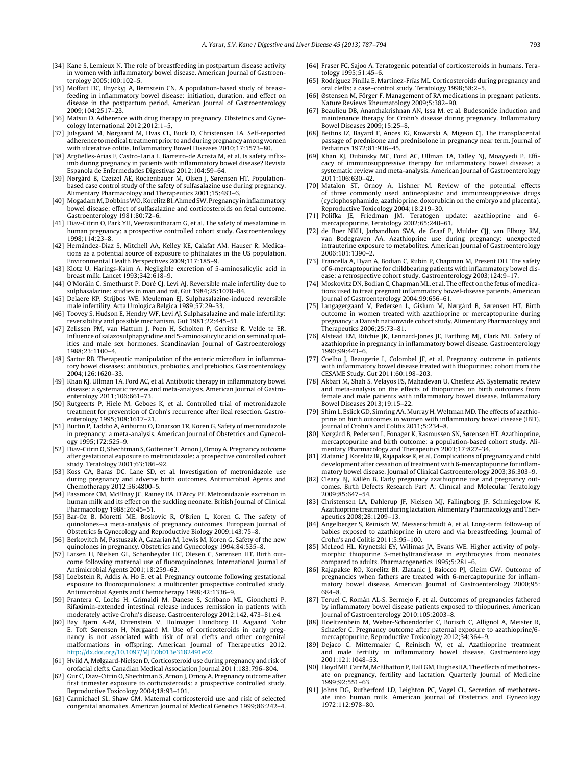- <span id="page-6-0"></span>[34] Kane S, Lemieux N. The role of breastfeeding in postpartum disease activity in women with inflammatory bowel disease. American Journal of Gastroenterology 2005;100:102–5.
- [35] Moffatt DC, Ilnyckyj A, Bernstein CN. A population-based study of breastfeeding in inflammatory bowel disease: initiation, duration, and effect on disease in the postpartum period. American Journal of Gastroenterology 2009;104:2517–23.
- [36] Matsui D. Adherence with drug therapy in pregnancy. Obstetrics and Gynecology International 2012;2012:1-5.
- [37] Julsgaard M, Nørgaard M, Hvas CL, Buck D, Christensen LA, Self-reported adherence to medical treatment prior to and during pregnancy among women with ulcerative colitis. Inflammatory Bowel Diseases 2010;17:1573–80.
- [38] Argüelles-Arias F, Castro-Laria L, Barreiro-de Acosta M, et al. Is safety infliximb during pregnancy in patients with inflammatory bowel disease? Revista Espanola de Enfermedades Digestivas 2012;104:59–64.
- [39] Nørgård B, Czeizel AE, Rockenbauer M, Olsen J, Sørensen HT. Populationbased case control study of the safety of sulfasalazine use during pregnancy. Alimentary Pharmacology and Therapeutics 2001;15:483–6.
- [40] Mogadam M, Dobbins WO, Korelitz BI, Ahmed SW. Pregnancy in inflammatory bowel disease: effect of sulfasalazine and corticosteroids on fetal outcome. Gastroenterology 1981;80:72–6.
- [41] Diav-Citrin O, Park YH, Veerasuntharam G, et al. The safety of mesalamine in human pregnancy: a prospective controlled cohort study. Gastroenterology 1998;114:23–8.
- [42] Hernández-Diaz S, Mitchell AA, Kelley KE, Calafat AM, Hauser R. Medications as a potential source of exposure to phthalates in the US population. Environmental Health Perspectives 2009;117:185–9.
- [43] Klotz U, Harings-Kaim A. Negligible excretion of 5-aminosalicylic acid in breast milk. Lancet 1993;342:618–9.
- [44] O'Moráin C, Smethurst P, Doré CJ, Levi AJ. Reversible male infertility due to sulphasalazine: studies in man and rat. Gut 1984;25:1078–84.
- [45] Delaere KP, Strijbos WE, Meuleman EJ. Sulphasalazine-induced reversible male infertility. Acta Urologica Belgica 1989;57:29–33.
- [46] Toovey S, Hudson E, Hendry WF, Levi AJ. Sulphasalazine and male infertility: reversibility and possible mechanism. Gut 1981;22:445–51.
- [47] Zelissen PM, van Hattum J, Poen H, Scholten P, Gerritse R, Velde te ER. Influence of salazosulphapyridine and 5-aminosalicylic acid on seminal qualities and male sex hormones. Scandinavian Journal of Gastroenterology 1988;23:1100–4.
- [48] Sartor RB. Therapeutic manipulation of the enteric microflora in inflammatory bowel diseases: antibiotics, probiotics, and prebiotics. Gastroenterology 2004;126:1620–33.
- [49] Khan KJ, Ullman TA, Ford AC, et al. Antibiotic therapy in inflammatory bowel disease: a systematic review and meta-analysis. American Journal of Gastroenterology 2011;106:661–73.
- [50] Rutgeerts P, Hiele M, Geboes K, et al. Controlled trial of metronidazole treatment for prevention of Crohn's recurrence after ileal resection. Gastroenterology 1995;108:1617–21.
- [51] Burtin P, Taddio A, Ariburnu O, Einarson TR, Koren G. Safety of metronidazole in pregnancy: a meta-analysis. American Journal of Obstetrics and Gynecology 1995;172:525–9.
- [52] Diav-Citrin O, Shechtman S, Gotteiner T, Arnon J, Ornoy A. Pregnancy outcome after gestational exposure to metronidazole: a prospective controlled cohort study. Teratology 2001;63:186–92.
- [53] Koss CA, Baras DC, Lane SD, et al. Investigation of metronidazole use during pregnancy and adverse birth outcomes. Antimicrobial Agents and Chemotherapy 2012;56:4800–5.
- [54] Passmore CM, McElnay JC, Rainey EA, D'Arcy PF. Metronidazole excretion in human milk and its effect on the suckling neonate. British Journal of Clinical Pharmacology 1988;26:45–51.
- Bar-Oz B, Moretti ME, Boskovic R, O'Brien L, Koren G. The safety of quinolones—a meta-analysis of pregnancy outcomes. European Journal of Obstetrics & Gynecology and Reproductive Biology 2009;143:75–8.
- [56] Berkovitch M, Pastuszak A, Gazarian M, Lewis M, Koren G. Safety of the new quinolones in pregnancy. Obstetrics and Gynecology 1994;84:535–8.
- [57] Larsen H, Nielsen GL, Schønheyder HC, Olesen C, Sørensen HT. Birth outcome following maternal use of fluoroquinolones. International Journal of Antimicrobial Agents 2001;18:259–62.
- [58] Loebstein R, Addis A, Ho E, et al. Pregnancy outcome following gestational exposure to fluoroquinolones: a multicenter prospective controlled study. Antimicrobial Agents and Chemotherapy 1998;42:1336–9.
- [59] Prantera C, Lochs H, Grimaldi M, Danese S, Scribano ML, Gionchetti P. Rifaximin-extended intestinal release induces remission in patients with moderately active Crohn's disease. Gastroenterology 2012;142, 473–81.e4.
- [60] Bay Bjørn A-M, Ehrenstein V, Holmager Hundborg H, Aagaard Nohr E, Toft Sørensen H, Nørgaard M. Use of corticosteroids in early pregnancy is not associated with risk of oral clefts and other congenital malformations in offspring. American Journal of Therapeutics 2012, [http://dx.doi.org/10.1097/MJT.0b013e3182491e02](dx.doi.org/10.1097/MJT.0b013e3182491e02).
- [61] Hviid A, Mølgaard-Nielsen D. Corticosteroid use during pregnancy and risk of orofacial clefts. Canadian Medical Association Journal 2011;183:796–804.
- [62] Gur C, Diav-Citrin O, Shechtman S, Arnon J, Ornoy A. Pregnancy outcome after first trimester exposure to corticosteroids: a prospective controlled study. Reproductive Toxicology 2004;18:93–101.
- [63] Carmichael SL, Shaw GM. Maternal corticosteroid use and risk of selected congenital anomalies. American Journal of Medical Genetics 1999;86:242–4.
- [64] Fraser FC, Sajoo A. Teratogenic potential of corticosteroids in humans. Teratology 1995;51:45–6.
- [65] Rodríguez Pinilla E, Martínez-Frías ML. Corticosteroids during pregnancy and oral clefts: a case–control study. Teratology 1998;58:2–5.
- [66] Østensen M, Förger F. Management of RA medications in pregnant patients. Nature Reviews Rheumatology 2009;5:382–90.
- [67] Beaulieu DB, Ananthakrishnan AN, Issa M, et al. Budesonide induction and maintenance therapy for Crohn's disease during pregnancy. Inflammatory Bowel Diseases 2009;15:25–8.
- [68] Beitins IZ, Bayard F, Ances IG, Kowarski A, Migeon CJ. The transplacental passage of prednisone and prednisolone in pregnancy near term. Journal of Pediatrics 1972;81:936–45.
- [69] Khan KJ, Dubinsky MC, Ford AC, Ullman TA, Talley NJ, Moayyedi P. Efficacy of immunosuppressive therapy for inflammatory bowel disease: a systematic review and meta-analysis. American Journal of Gastroenterology 2011;106:630–42.
- [70] Matalon ST, Ornoy A, Lishner M. Review of the potential effects of three commonly used antineoplastic and immunosuppressive drugs (cyclophosphamide, azathioprine, doxorubicin on the embryo and placenta). Reproductive Toxicology 2004;18:219–30.
- [71] Polifka JE, Friedman JM. Teratogen update: azathioprine and 6 mercaptopurine. Teratology 2002;65:240–61.
- [72] de Boer NKH, Jarbandhan SVA, de Graaf P, Mulder CJJ, van Elburg RM, van Bodegraven AA. Azathioprine use during pregnancy: unexpected intrauterine exposure to metabolites. American Journal of Gastroenterology 2006;101:1390–2.
- [73] Francella A, Dyan A, Bodian C, Rubin P, Chapman M, Present DH. The safety of 6-mercaptopurine for childbearing patients with inflammatory bowel disease: a retrospective cohort study. Gastroenterology 2003;124:9–17.
- [74] Moskovitz DN, Bodian C, Chapman ML, et al. The effect on the fetus of medications used to treat pregnant inflammatory bowel-disease patients. American Journal of Gastroenterology 2004;99:656–61.
- [75] Langagergaard V, Pedersen L, Gislum M, Nørgård B, Sørensen HT. Birth outcome in women treated with azathioprine or mercaptopurine during pregnancy: a Danish nationwide cohort study. Alimentary Pharmacology and Therapeutics 2006;25:73–81.
- [76] Alstead EM, Ritchie JK, Lennard-Jones JE, Farthing MJ, Clark ML. Safety of azathioprine in pregnancy in inflammatory bowel disease. Gastroenterology  $1990.99.443 - 6$
- [77] Coelho J, Beaugerie L, Colombel JF, et al. Pregnancy outcome in patients with inflammatory bowel disease treated with thiopurines: cohort from the CESAME Study. Gut 2011;60:198–203.
- [78] Akbari M, Shah S, Velayos FS, Mahadevan U, Cheifetz AS. Systematic review and meta-analysis on the effects of thiopurines on birth outcomes from female and male patients with inflammatory bowel disease. Inflammatory Bowel Diseases 2013;19:15–22.
- [79] Shim L, Eslick GD, Simring AA, Murray H, Weltman MD. The effects of azathioprine on birth outcomes in women with inflammatory bowel disease (IBD). Journal of Crohn's and Colitis 2011;5:234–8.
- [80] Nørgård B, Pedersen L, Fonager K, Rasmussen SN, Sørensen HT. Azathioprine, mercaptopurine and birth outcome: a population-based cohort study. Alimentary Pharmacology and Therapeutics 2003;17:827–34.
- [81] Zlatanic J, Korelitz BI, Rajapakse R, et al. Complications of pregnancy and child development after cessation of treatment with 6-mercaptopurine for inflammatory bowel disease. Journal of Clinical Gastroenterology 2003;36:303–9.
- [82] Cleary BJ, Källén B. Early pregnancy azathioprine use and pregnancy outcomes. Birth Defects Research Part A: Clinical and Molecular Teratology 2009;85:647–54.
- [83] Christensen LA, Dahlerup JF, Nielsen MJ, Fallingborg JF, Schmiegelow K. Azathioprine treatment during lactation.Alimentary Pharmacology and Therapeutics 2008;28:1209–13.
- [84] Angelberger S, Reinisch W, Messerschmidt A, et al. Long-term follow-up of babies exposed to azathioprine in utero and via breastfeeding. Journal of Crohn's and Colitis 2011;5:95–100.
- [85] McLeod HL, Krynetski EY, Wilimas JA, Evans WE. Higher activity of polymorphic thiopurine S-methyltransferase in erythrocytes from neonates compared to adults. Pharmacogenetics 1995;5:281–6.
- [86] Rajapakse RO, Korelitz BI, Zlatanic J, Baiocco PJ, Gleim GW. Outcome of pregnancies when fathers are treated with 6-mercaptopurine for inflammatory bowel disease. American Journal of Gastroenterology 2000;95: 684–8.
- [87] Teruel C, Román AL-S, Bermejo F, et al. Outcomes of pregnancies fathered by inflammatory bowel disease patients exposed to thiopurines. American Journal of Gastroenterology 2010;105:2003–8.
- [88] Hoeltzenbein M, Weber-Schoendorfer C, Borisch C, Allignol A, Meister R, Schaefer C. Pregnancy outcome after paternal exposure to azathioprine/6 mercaptopurine. Reproductive Toxicology 2012;34:364–9.
- [89] Dejaco C, Mittermaier C, Reinisch W, et al. Azathioprine treatment and male fertility in inflammatory bowel disease. Gastroenterology 2001;121:1048–53.
- [90] Lloyd ME, Carr M, McElhatton P, Hall GM, Hughes RA. The effects of methotrexate on pregnancy, fertility and lactation. Quarterly Journal of Medicine 1999;92:551–63.
- [91] Johns DG, Rutherford LD, Leighton PC, Vogel CL. Secretion of methotrexate into human milk. American Journal of Obstetrics and Gynecology 1972;112:978–80.